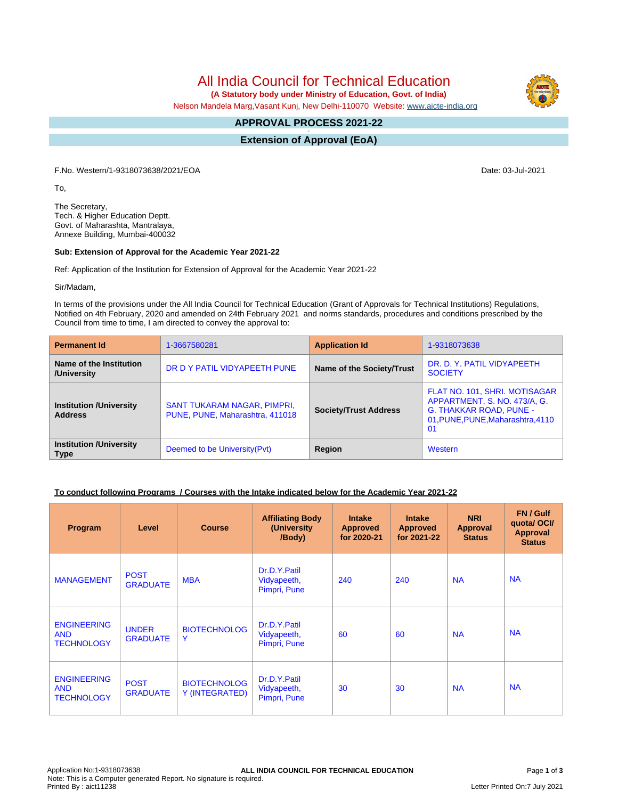All India Council for Technical Education

 **(A Statutory body under Ministry of Education, Govt. of India)**

Nelson Mandela Marg,Vasant Kunj, New Delhi-110070 Website: [www.aicte-india.org](http://www.aicte-india.org)

#### **APPROVAL PROCESS 2021-22 -**

**Extension of Approval (EoA)**

F.No. Western/1-9318073638/2021/EOA Date: 03-Jul-2021

To,

The Secretary, Tech. & Higher Education Deptt. Govt. of Maharashta, Mantralaya, Annexe Building, Mumbai-400032

#### **Sub: Extension of Approval for the Academic Year 2021-22**

Ref: Application of the Institution for Extension of Approval for the Academic Year 2021-22

Sir/Madam,

In terms of the provisions under the All India Council for Technical Education (Grant of Approvals for Technical Institutions) Regulations, Notified on 4th February, 2020 and amended on 24th February 2021 and norms standards, procedures and conditions prescribed by the Council from time to time, I am directed to convey the approval to:

| <b>Permanent Id</b>                              | 1-3667580281                                                          | <b>Application Id</b>        | 1-9318073638                                                                                                                               |
|--------------------------------------------------|-----------------------------------------------------------------------|------------------------------|--------------------------------------------------------------------------------------------------------------------------------------------|
| Name of the Institution<br>/University           | DR D Y PATIL VIDYAPEETH PUNE                                          | Name of the Society/Trust    | DR. D. Y. PATIL VIDYAPEETH<br><b>SOCIETY</b>                                                                                               |
| <b>Institution /University</b><br><b>Address</b> | <b>SANT TUKARAM NAGAR, PIMPRI,</b><br>PUNE, PUNE, Maharashtra, 411018 | <b>Society/Trust Address</b> | FLAT NO. 101, SHRI. MOTISAGAR<br>APPARTMENT, S. NO. 473/A, G.<br><b>G. THAKKAR ROAD, PUNE -</b><br>01, PUNE, PUNE, Maharashtra, 4110<br>01 |
| <b>Institution /University</b><br><b>Type</b>    | Deemed to be University (Pvt)                                         | Region                       | Western                                                                                                                                    |

### **To conduct following Programs / Courses with the Intake indicated below for the Academic Year 2021-22**

| Program                                               | Level                           | <b>Course</b>                         | <b>Affiliating Body</b><br>(University<br>/Body) | <b>Intake</b><br><b>Approved</b><br>for 2020-21 | <b>Intake</b><br><b>Approved</b><br>for 2021-22 | <b>NRI</b><br>Approval<br><b>Status</b> | FN / Gulf<br>quotal OCI/<br><b>Approval</b><br><b>Status</b> |
|-------------------------------------------------------|---------------------------------|---------------------------------------|--------------------------------------------------|-------------------------------------------------|-------------------------------------------------|-----------------------------------------|--------------------------------------------------------------|
| <b>MANAGEMENT</b>                                     | <b>POST</b><br><b>GRADUATE</b>  | <b>MBA</b>                            | Dr.D.Y.Patil<br>Vidyapeeth,<br>Pimpri, Pune      | 240                                             | 240                                             | <b>NA</b>                               | <b>NA</b>                                                    |
| <b>ENGINEERING</b><br><b>AND</b><br><b>TECHNOLOGY</b> | <b>UNDER</b><br><b>GRADUATE</b> | <b>BIOTECHNOLOG</b><br>Y              | Dr.D.Y.Patil<br>Vidyapeeth,<br>Pimpri, Pune      | 60                                              | 60                                              | <b>NA</b>                               | <b>NA</b>                                                    |
| <b>ENGINEERING</b><br><b>AND</b><br><b>TECHNOLOGY</b> | <b>POST</b><br><b>GRADUATE</b>  | <b>BIOTECHNOLOG</b><br>Y (INTEGRATED) | Dr.D.Y.Patil<br>Vidyapeeth,<br>Pimpri, Pune      | 30                                              | 30                                              | <b>NA</b>                               | <b>NA</b>                                                    |

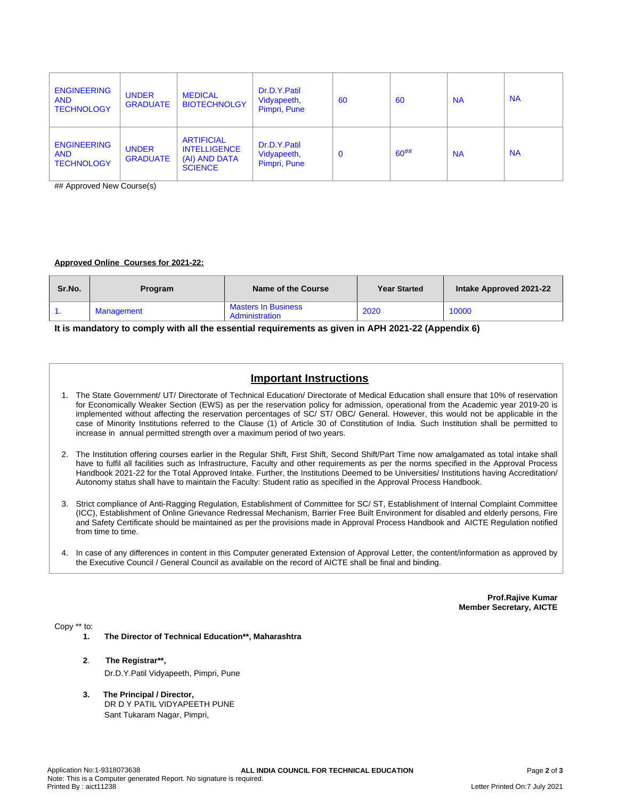| <b>ENGINEERING</b><br><b>AND</b><br><b>TECHNOLOGY</b> | <b>UNDER</b><br><b>GRADUATE</b> | <b>MEDICAL</b><br><b>BIOTECHNOLGY</b>                                       | Dr.D.Y.Patil<br>Vidyapeeth,<br>Pimpri, Pune | 60          | 60         | <b>NA</b> | <b>NA</b> |
|-------------------------------------------------------|---------------------------------|-----------------------------------------------------------------------------|---------------------------------------------|-------------|------------|-----------|-----------|
| <b>ENGINEERING</b><br><b>AND</b><br><b>TECHNOLOGY</b> | <b>UNDER</b><br><b>GRADUATE</b> | <b>ARTIFICIAL</b><br><b>INTELLIGENCE</b><br>(AI) AND DATA<br><b>SCIENCE</b> | Dr.D.Y.Patil<br>Vidyapeeth,<br>Pimpri, Pune | $\mathbf 0$ | $60^{#}\%$ | <b>NA</b> | <b>NA</b> |

## Approved New Course(s)

#### **Approved Online Courses for 2021-22:**

| Sr.No. | Program    | Name of the Course                           | <b>Year Started</b> | Intake Approved 2021-22 |  |
|--------|------------|----------------------------------------------|---------------------|-------------------------|--|
| . .    | Management | <b>Masters In Business</b><br>Administration | 2020                | 10000                   |  |

**It is mandatory to comply with all the essential requirements as given in APH 2021-22 (Appendix 6)**

# **Important Instructions**

- 1. The State Government/ UT/ Directorate of Technical Education/ Directorate of Medical Education shall ensure that 10% of reservation for Economically Weaker Section (EWS) as per the reservation policy for admission, operational from the Academic year 2019-20 is implemented without affecting the reservation percentages of SC/ ST/ OBC/ General. However, this would not be applicable in the case of Minority Institutions referred to the Clause (1) of Article 30 of Constitution of India. Such Institution shall be permitted to increase in annual permitted strength over a maximum period of two years.
- 2. The Institution offering courses earlier in the Regular Shift, First Shift, Second Shift/Part Time now amalgamated as total intake shall have to fulfil all facilities such as Infrastructure, Faculty and other requirements as per the norms specified in the Approval Process Handbook 2021-22 for the Total Approved Intake. Further, the Institutions Deemed to be Universities/ Institutions having Accreditation/ Autonomy status shall have to maintain the Faculty: Student ratio as specified in the Approval Process Handbook.
- 3. Strict compliance of Anti-Ragging Regulation, Establishment of Committee for SC/ ST, Establishment of Internal Complaint Committee (ICC), Establishment of Online Grievance Redressal Mechanism, Barrier Free Built Environment for disabled and elderly persons, Fire and Safety Certificate should be maintained as per the provisions made in Approval Process Handbook and AICTE Regulation notified from time to time.
- 4. In case of any differences in content in this Computer generated Extension of Approval Letter, the content/information as approved by the Executive Council / General Council as available on the record of AICTE shall be final and binding.

**Prof.Rajive Kumar Member Secretary, AICTE**

Copy \*\* to:

- **1. The Director of Technical Education\*\*, Maharashtra**
- **2**. **The Registrar\*\*,** Dr.D.Y.Patil Vidyapeeth, Pimpri, Pune
- **3. The Principal / Director,** DR D Y PATIL VIDYAPEETH PUNE Sant Tukaram Nagar, Pimpri,